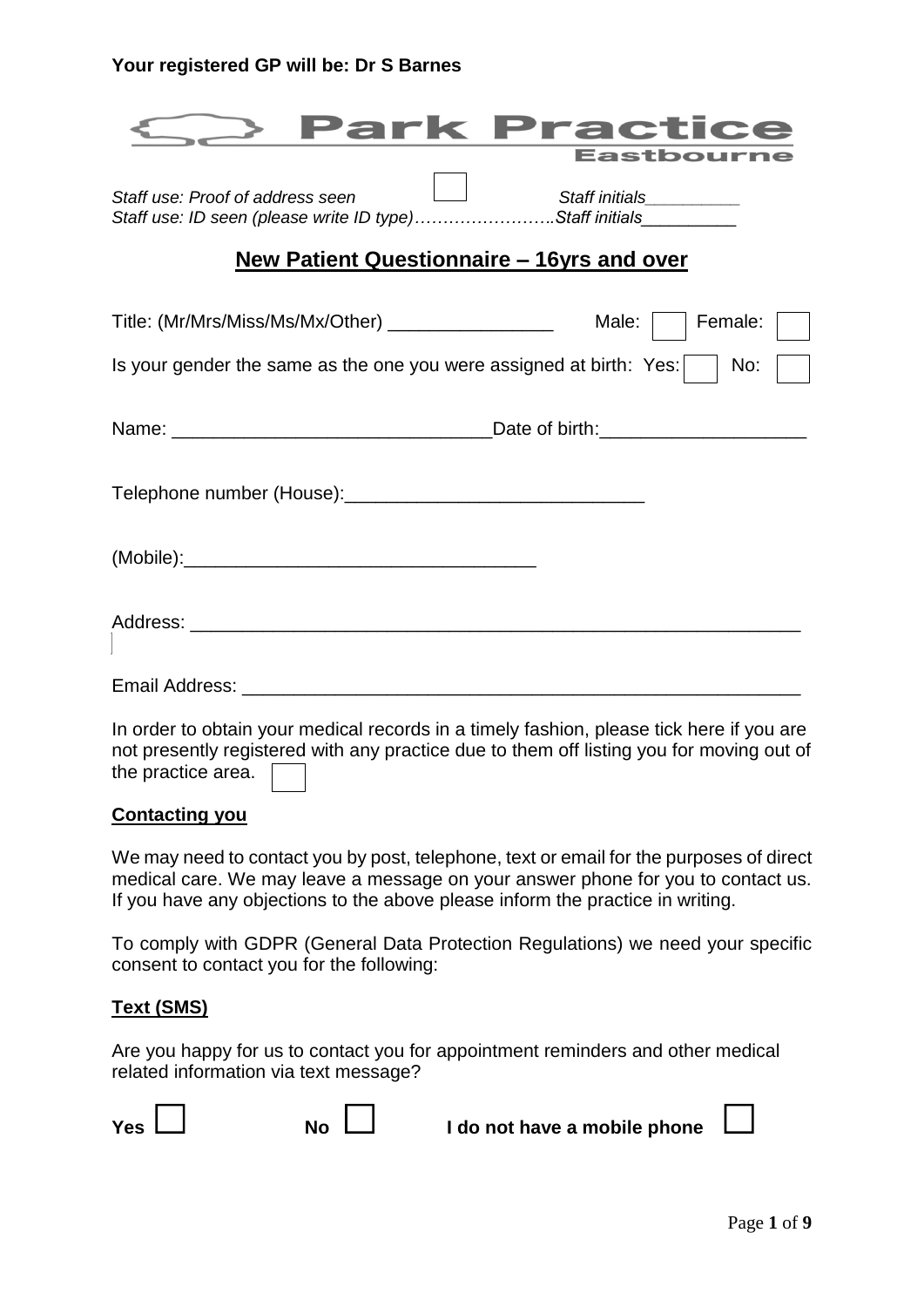|                                                                                             | Park Practice<br>Eastbourne |
|---------------------------------------------------------------------------------------------|-----------------------------|
| Staff use: Proof of address seen<br>Staff use: ID seen (please write ID type)Staff initials | Staff initials___________   |
| New Patient Questionnaire – 16yrs and over                                                  |                             |
| Title: (Mr/Mrs/Miss/Ms/Mx/Other) __________________                                         | Male:<br>Female:            |
| Is your gender the same as the one you were assigned at birth: Yes:                         | No:                         |
|                                                                                             |                             |
|                                                                                             |                             |
|                                                                                             |                             |
|                                                                                             |                             |
|                                                                                             |                             |
| la sedesta ottoin vaus moodiaal seossa ja otimakufoobion, pleeen tiek hose ji vau osa       |                             |

In order to obtain your medical records in a timely fashion, please tick here if you are not presently registered with any practice due to them off listing you for moving out of the practice area.

## **Contacting you**

We may need to contact you by post, telephone, text or email for the purposes of direct medical care. We may leave a message on your answer phone for you to contact us. If you have any objections to the above please inform the practice in writing.

To comply with GDPR (General Data Protection Regulations) we need your specific consent to contact you for the following:

## **Text (SMS)**

Are you happy for us to contact you for appointment reminders and other medical related information via text message?

| Yes $\Box$ |  | $\overline{N}$ o $\Box$ | I do not have a mobile phone $\Box$ |  |
|------------|--|-------------------------|-------------------------------------|--|
|------------|--|-------------------------|-------------------------------------|--|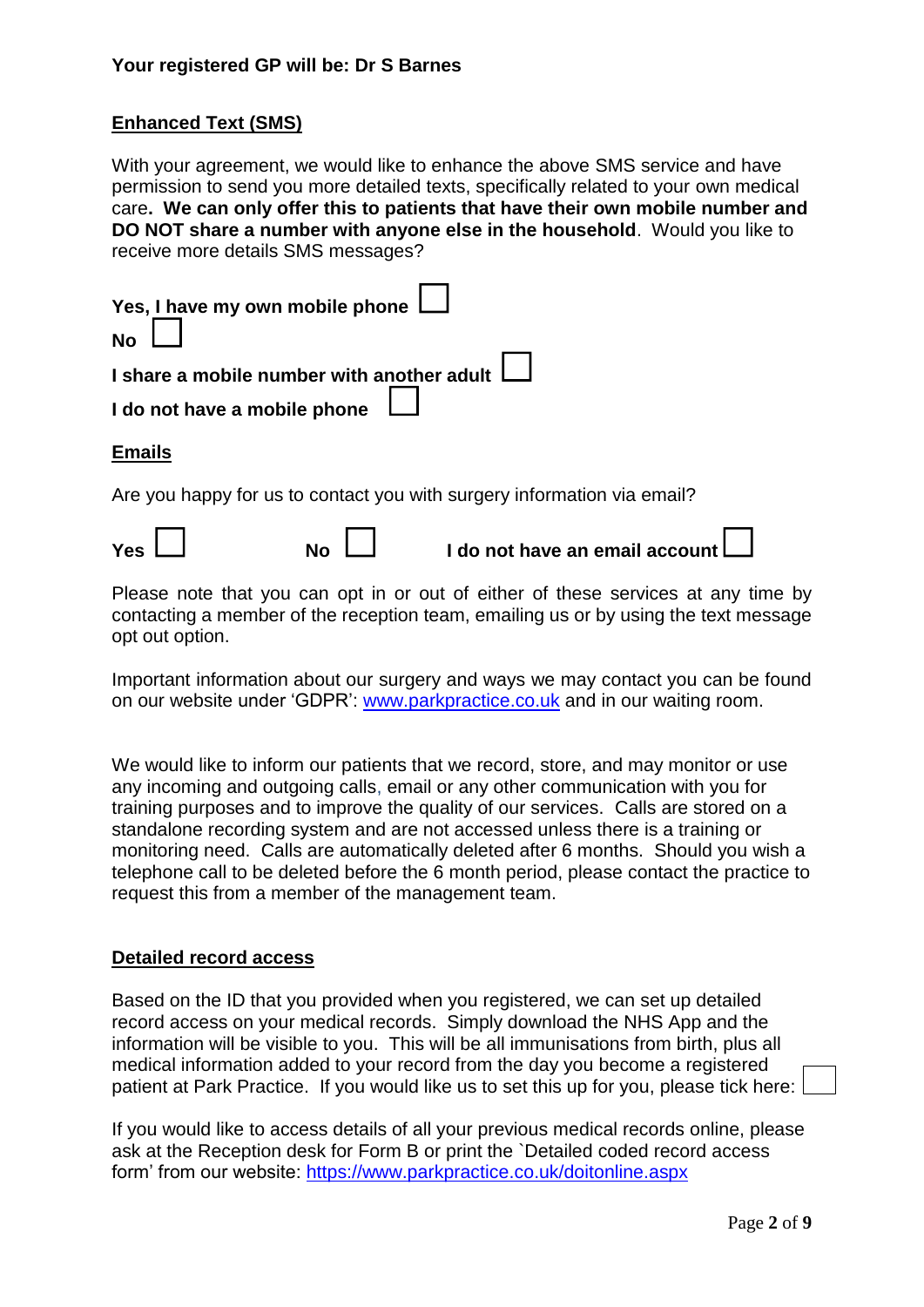## **Enhanced Text (SMS)**

With your agreement, we would like to enhance the above SMS service and have permission to send you more detailed texts, specifically related to your own medical care**. We can only offer this to patients that have their own mobile number and DO NOT share a number with anyone else in the household**. Would you like to receive more details SMS messages?

| Yes, I have my own mobile phone<br><b>No</b>                            |
|-------------------------------------------------------------------------|
| I share a mobile number with another adult                              |
| I do not have a mobile phone                                            |
| <b>Emails</b>                                                           |
| Are you happy for us to contact you with surgery information via email? |
| I do not have an email account<br><b>Yes</b><br><b>No</b>               |

Please note that you can opt in or out of either of these services at any time by contacting a member of the reception team, emailing us or by using the text message opt out option.

Important information about our surgery and ways we may contact you can be found on our website under 'GDPR': [www.parkpractice.co.uk](http://www.parkpractice.co.uk/) and in our waiting room.

We would like to inform our patients that we record, store, and may monitor or use any incoming and outgoing calls, email or any other communication with you for training purposes and to improve the quality of our services. Calls are stored on a standalone recording system and are not accessed unless there is a training or monitoring need. Calls are automatically deleted after 6 months. Should you wish a telephone call to be deleted before the 6 month period, please contact the practice to request this from a member of the management team.

#### **Detailed record access**

Based on the ID that you provided when you registered, we can set up detailed record access on your medical records. Simply download the NHS App and the information will be visible to you. This will be all immunisations from birth, plus all medical information added to your record from the day you become a registered patient at Park Practice. If you would like us to set this up for you, please tick here:

If you would like to access details of all your previous medical records online, please ask at the Reception desk for Form B or print the `Detailed coded record access form' from our website:<https://www.parkpractice.co.uk/doitonline.aspx>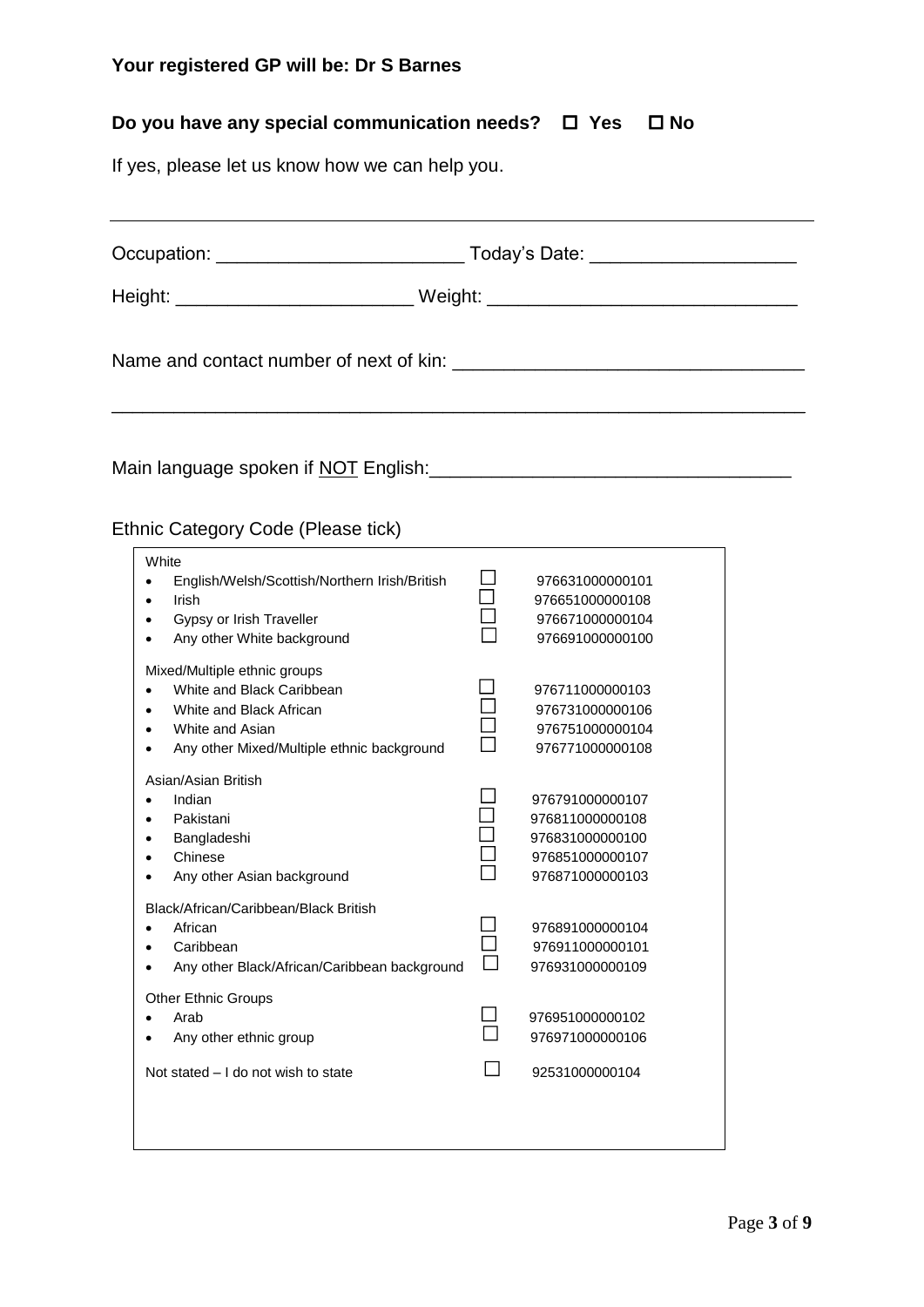# **Do you have any special communication needs?**  $□$  **Yes**  $□$  **No**

If yes, please let us know how we can help you.

| Ethnic Category Code (Please tick)                                                                                                                    |                                                                                             |  |  |  |  |
|-------------------------------------------------------------------------------------------------------------------------------------------------------|---------------------------------------------------------------------------------------------|--|--|--|--|
| White<br>English/Welsh/Scottish/Northern Irish/British<br>Irish<br>$\bullet$<br>Gypsy or Irish Traveller<br>Any other White background                | 976631000000101<br>976651000000108<br>976671000000104<br>976691000000100                    |  |  |  |  |
| Mixed/Multiple ethnic groups<br>White and Black Caribbean<br>White and Black African<br>White and Asian<br>Any other Mixed/Multiple ethnic background | 976711000000103<br>976731000000106<br>976751000000104<br>976771000000108                    |  |  |  |  |
| Asian/Asian British<br>Indian<br>$\bullet$<br>Pakistani<br>Bangladeshi<br>Chinese<br>Any other Asian background                                       | 976791000000107<br>976811000000108<br>976831000000100<br>976851000000107<br>976871000000103 |  |  |  |  |
| Black/African/Caribbean/Black British<br>African<br>$\bullet$<br>Caribbean<br>٠<br>Any other Black/African/Caribbean background                       | 976891000000104<br>976911000000101<br>976931000000109                                       |  |  |  |  |
| <b>Other Ethnic Groups</b><br>Arab<br>Any other ethnic group                                                                                          | 976951000000102<br>976971000000106                                                          |  |  |  |  |
| Not stated - I do not wish to state                                                                                                                   | 92531000000104                                                                              |  |  |  |  |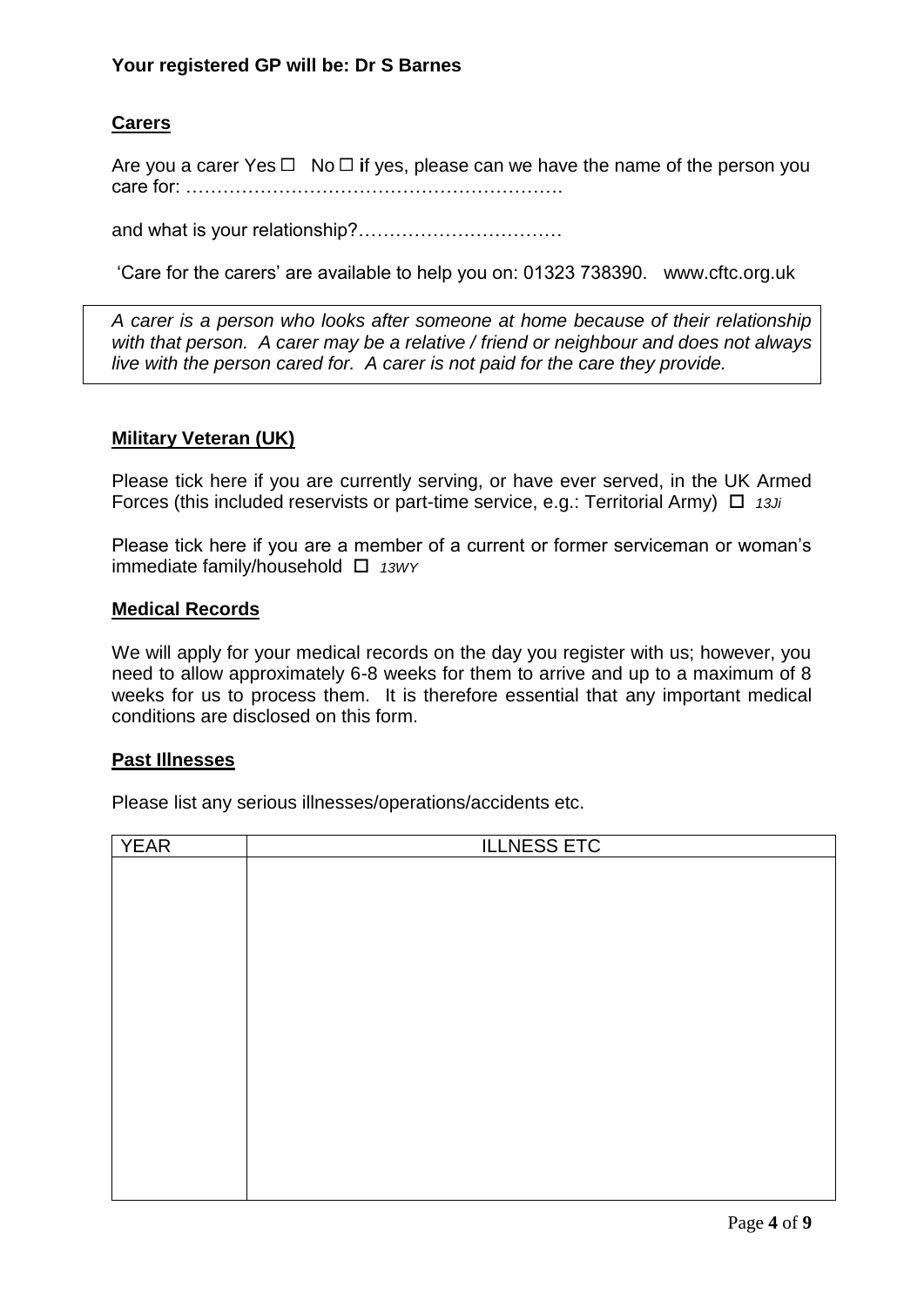## **Carers**

Are you a carer Yes  $\Box$  No  $\Box$  if yes, please can we have the name of the person you care for: …………………………………………………….

and what is your relationship?……………………………

'Care for the carers' are available to help you on: 01323 738390. www.cftc.org.uk

*A carer is a person who looks after someone at home because of their relationship with that person. A carer may be a relative / friend or neighbour and does not always live with the person cared for. A carer is not paid for the care they provide.*

#### **Military Veteran (UK)**

Please tick here if you are currently serving, or have ever served, in the UK Armed Forces (this included reservists or part-time service, e.g.: Territorial Army) *13Ji*

Please tick here if you are a member of a current or former serviceman or woman's immediate family/household *13WY*

#### **Medical Records**

We will apply for your medical records on the day you register with us; however, you need to allow approximately 6-8 weeks for them to arrive and up to a maximum of 8 weeks for us to process them. It is therefore essential that any important medical conditions are disclosed on this form.

#### **Past Illnesses**

Please list any serious illnesses/operations/accidents etc.

| <b>YEAR</b> | <b>ILLNESS ETC</b> |  |  |  |  |  |
|-------------|--------------------|--|--|--|--|--|
|             |                    |  |  |  |  |  |
|             |                    |  |  |  |  |  |
|             |                    |  |  |  |  |  |
|             |                    |  |  |  |  |  |
|             |                    |  |  |  |  |  |
|             |                    |  |  |  |  |  |
|             |                    |  |  |  |  |  |
|             |                    |  |  |  |  |  |
|             |                    |  |  |  |  |  |
|             |                    |  |  |  |  |  |
|             |                    |  |  |  |  |  |
|             |                    |  |  |  |  |  |
|             |                    |  |  |  |  |  |
|             |                    |  |  |  |  |  |
|             |                    |  |  |  |  |  |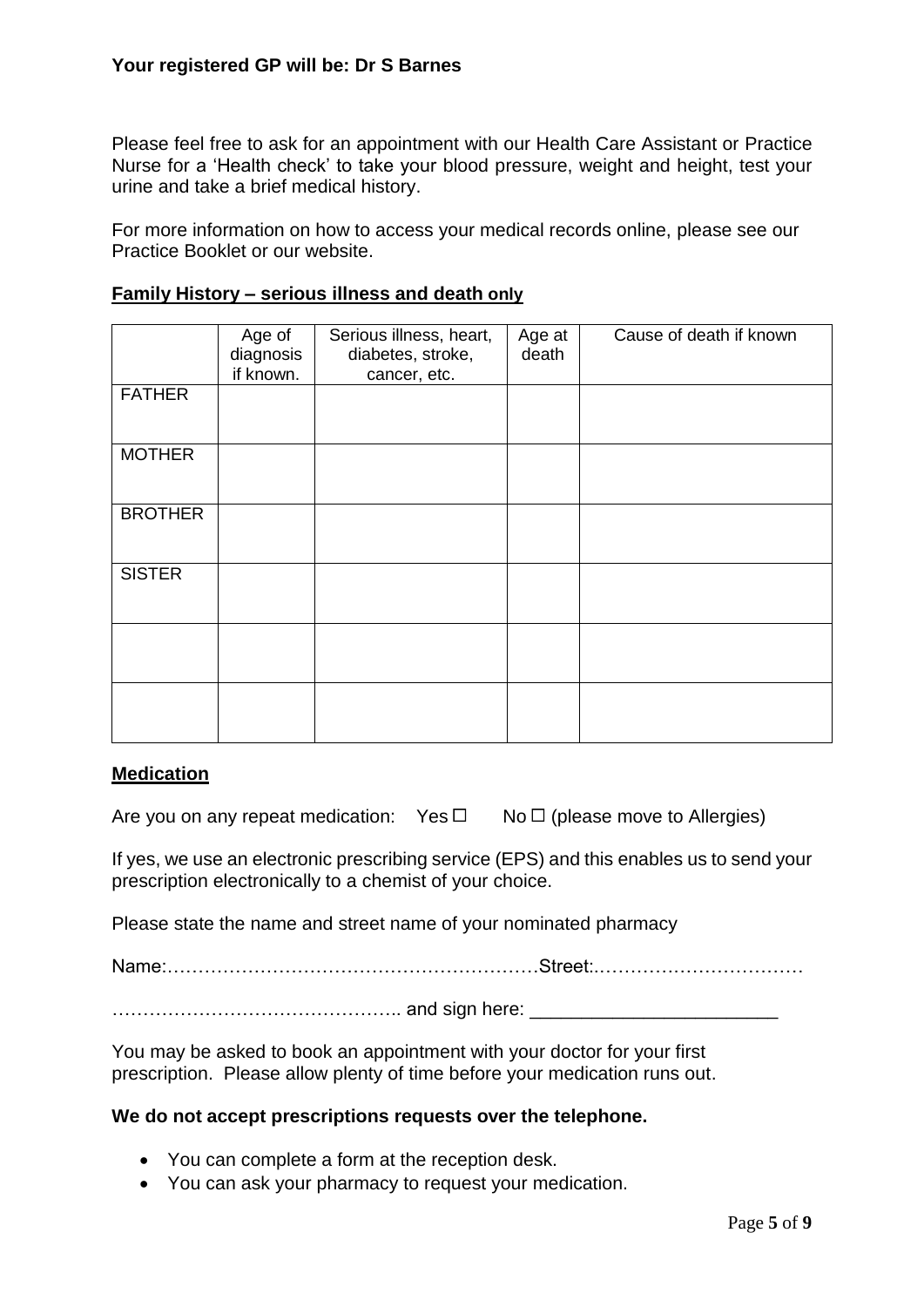Please feel free to ask for an appointment with our Health Care Assistant or Practice Nurse for a 'Health check' to take your blood pressure, weight and height, test your urine and take a brief medical history.

For more information on how to access your medical records online, please see our Practice Booklet or our website.

|                | Age of    | Serious illness, heart, | Age at | Cause of death if known |
|----------------|-----------|-------------------------|--------|-------------------------|
|                | diagnosis | diabetes, stroke,       | death  |                         |
|                | if known. | cancer, etc.            |        |                         |
| <b>FATHER</b>  |           |                         |        |                         |
|                |           |                         |        |                         |
| <b>MOTHER</b>  |           |                         |        |                         |
|                |           |                         |        |                         |
| <b>BROTHER</b> |           |                         |        |                         |
|                |           |                         |        |                         |
|                |           |                         |        |                         |
| <b>SISTER</b>  |           |                         |        |                         |
|                |           |                         |        |                         |
|                |           |                         |        |                         |
|                |           |                         |        |                         |
|                |           |                         |        |                         |
|                |           |                         |        |                         |
|                |           |                         |        |                         |

#### **Family History – serious illness and death only**

#### **Medication**

Are you on any repeat medication: Yes  $\Box$  No  $\Box$  (please move to Allergies)

If yes, we use an electronic prescribing service (EPS) and this enables us to send your prescription electronically to a chemist of your choice.

Please state the name and street name of your nominated pharmacy

Name:……………………………………………………Street:.……………………………

……………………………………….. and sign here: \_\_\_\_\_\_\_\_\_\_\_\_\_\_\_\_\_\_\_\_\_\_\_\_

You may be asked to book an appointment with your doctor for your first prescription. Please allow plenty of time before your medication runs out.

#### **We do not accept prescriptions requests over the telephone.**

- You can complete a form at the reception desk.
- You can ask your pharmacy to request your medication.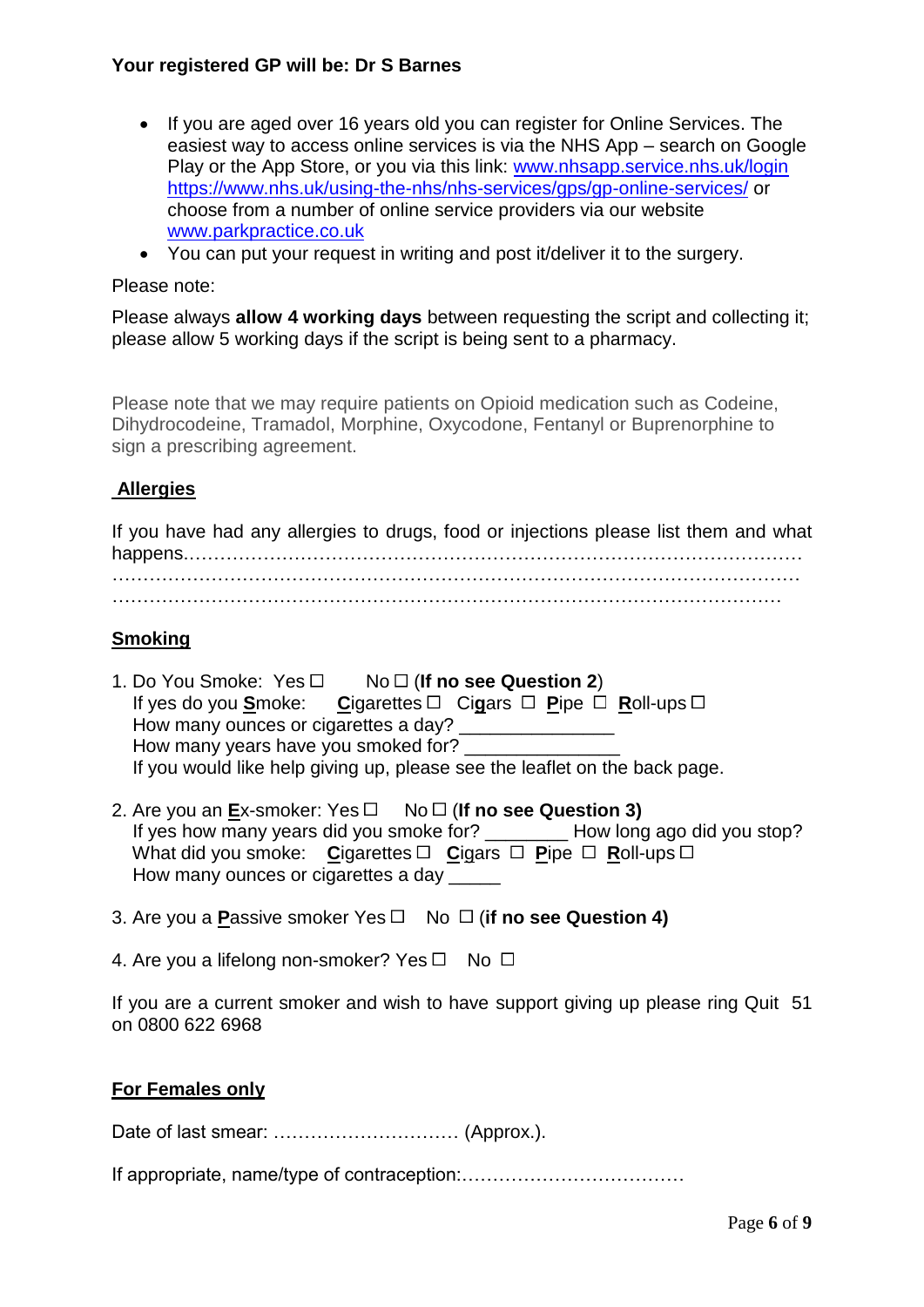- If you are aged over 16 years old you can register for Online Services. The easiest way to access online services is via the NHS App – search on Google Play or the App Store, or you via this link: [www.nhsapp.service.nhs.uk/login](http://www.nhsapp.service.nhs.uk/login) <https://www.nhs.uk/using-the-nhs/nhs-services/gps/gp-online-services/> or choose from a number of online service providers via our website [www.parkpractice.co.uk](http://www.parkpractice.co.uk/)
- You can put your request in writing and post it/deliver it to the surgery.

#### Please note:

Please always **allow 4 working days** between requesting the script and collecting it: please allow 5 working days if the script is being sent to a pharmacy.

Please note that we may require patients on Opioid medication such as Codeine, Dihydrocodeine, Tramadol, Morphine, Oxycodone, Fentanyl or Buprenorphine to sign a prescribing agreement.

## **Allergies**

If you have had any allergies to drugs, food or injections please list them and what happens.……………………………………………………………………………………… …………………………………………………………………………………………………

………………………………………………………………………………………………

## **Smoking**

- 1. Do You Smoke:  $Yes \Box$  No  $\Box$  (**If no see Question 2**) If yes do you Smoke: Cigarettes □ Cigars □ Pipe □ Roll-ups □ How many ounces or cigarettes a day? How many years have you smoked for? If you would like help giving up, please see the leaflet on the back page.
- 2. Are you an  $Ex$ -smoker: Yes  $\Box$  No  $\Box$  (**If no see Question 3)**  If yes how many years did you smoke for? \_\_\_\_\_\_\_\_ How long ago did you stop? What did you smoke: Cigarettes  $\Box$  Cigars  $\Box$  Pipe  $\Box$  Roll-ups  $\Box$ How many ounces or cigarettes a day
- 3. Are you a **P**assive smoker Yes □ No □ (if no see Question 4)

4. Are you a lifelong non-smoker? Yes  $\Box$  No  $\Box$ 

If you are a current smoker and wish to have support giving up please ring Quit 51 on 0800 622 6968

#### **For Females only**

Date of last smear: ………………………… (Approx.).

If appropriate, name/type of contraception:………………………………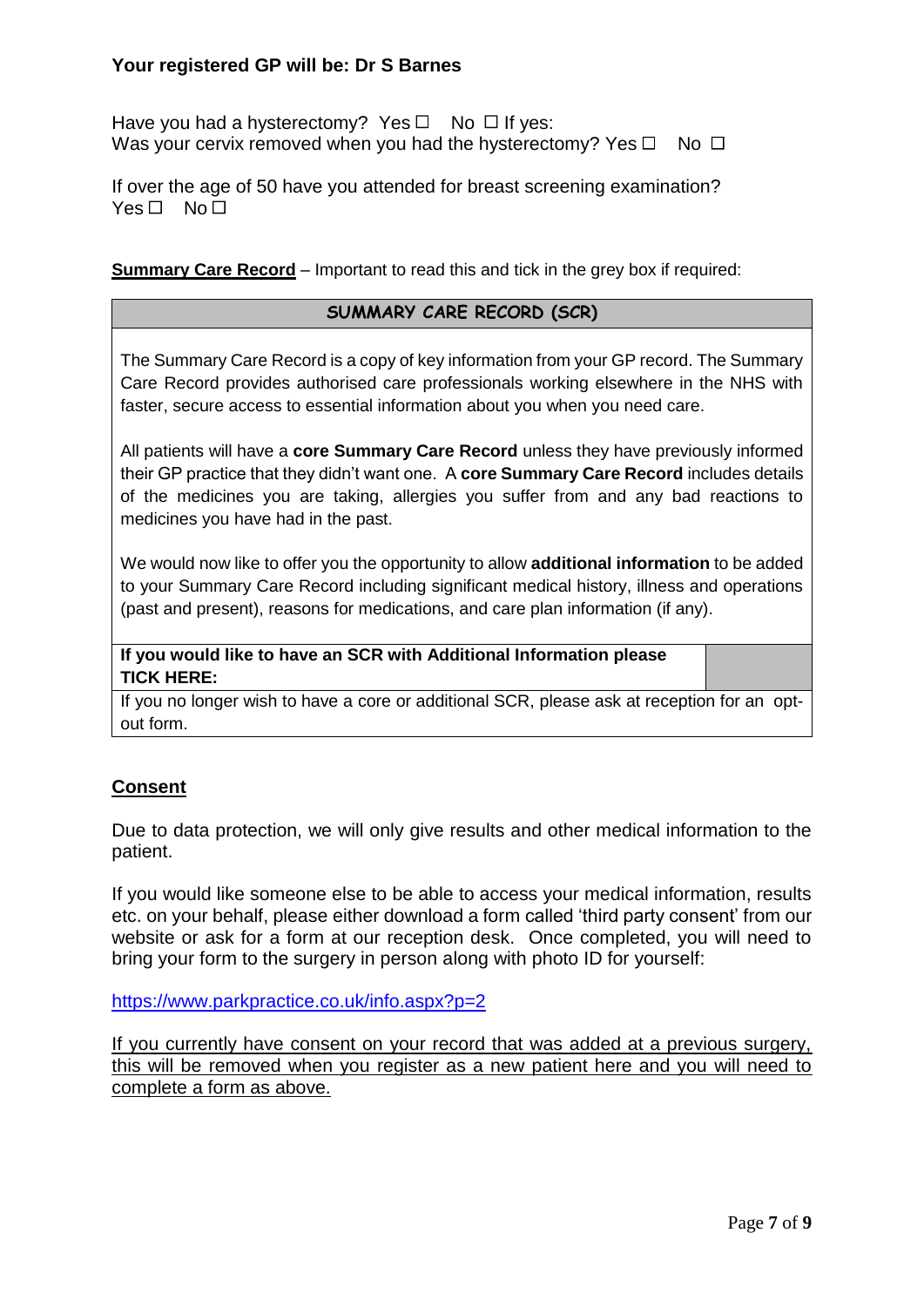Have you had a hysterectomy? Yes  $\Box$  No  $\Box$  If yes: Was your cervix removed when you had the hysterectomy? Yes  $\Box$  No  $\Box$ 

If over the age of 50 have you attended for breast screening examination?  $Yes \Box No \Box$ 

#### **Summary Care Record** – Important to read this and tick in the grey box if required:

#### **SUMMARY CARE RECORD (SCR)**

The Summary Care Record is a copy of key information from your GP record. The Summary Care Record provides authorised care professionals working elsewhere in the NHS with faster, secure access to essential information about you when you need care.

All patients will have a **core Summary Care Record** unless they have previously informed their GP practice that they didn't want one. A **core Summary Care Record** includes details of the medicines you are taking, allergies you suffer from and any bad reactions to medicines you have had in the past.

We would now like to offer you the opportunity to allow **additional information** to be added to your Summary Care Record including significant medical history, illness and operations (past and present), reasons for medications, and care plan information (if any).

**If you would like to have an SCR with Additional Information please TICK HERE:**

If you no longer wish to have a core or additional SCR, please ask at reception for an optout form.

## **Consent**

Due to data protection, we will only give results and other medical information to the patient.

If you would like someone else to be able to access your medical information, results etc. on your behalf, please either download a form called 'third party consent' from our website or ask for a form at our reception desk. Once completed, you will need to bring your form to the surgery in person along with photo ID for yourself:

<https://www.parkpractice.co.uk/info.aspx?p=2>

If you currently have consent on your record that was added at a previous surgery, this will be removed when you register as a new patient here and you will need to complete a form as above.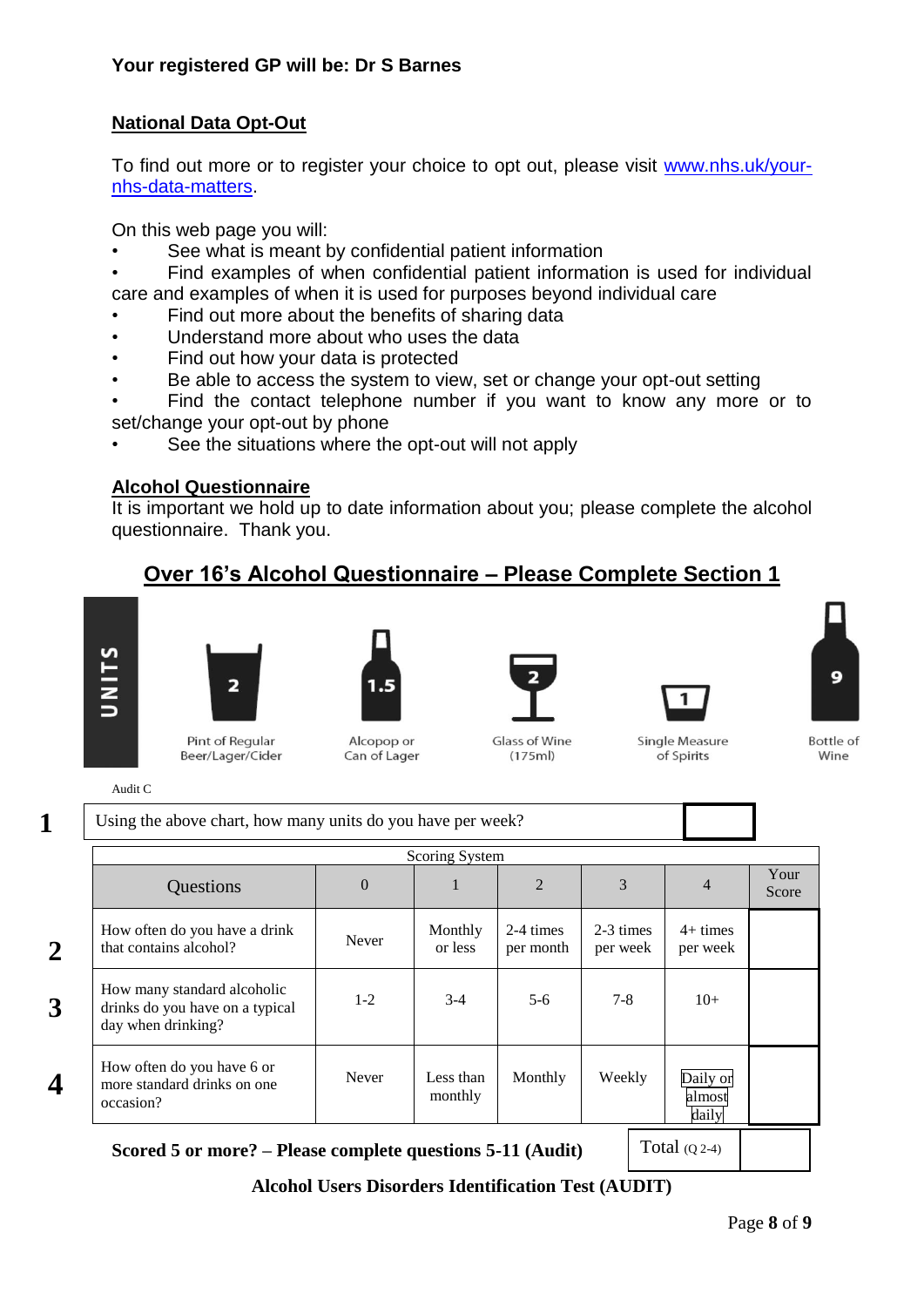## **National Data Opt-Out**

To find out more or to register your choice to opt out, please visit [www.nhs.uk/your](http://www.nhs.uk/your-nhs-data-matters)[nhs-data-matters.](http://www.nhs.uk/your-nhs-data-matters)

On this web page you will:

- See what is meant by confidential patient information
- Find examples of when confidential patient information is used for individual care and examples of when it is used for purposes beyond individual care
- Find out more about the benefits of sharing data
- Understand more about who uses the data
- Find out how your data is protected
- Be able to access the system to view, set or change your opt-out setting
- Find the contact telephone number if you want to know any more or to set/change your opt-out by phone
- See the situations where the opt-out will not apply

## **Alcohol Questionnaire**

It is important we hold up to date information about you; please complete the alcohol questionnaire. Thank you.

## **Over 16's Alcohol Questionnaire – Please Complete Section 1**



**2**

**3**

**4**



Pint of Regular Beer/Lager/Cider

Alcopop or Can of Lager

Glass of Wine  $(175m)$ 



of Spirits

Bottle of Wine

9

Audit C

**1** Using the above chart, how many units do you have per week?

| Scoring System                                                                       |                |                      |                        |                       |                             |               |  |
|--------------------------------------------------------------------------------------|----------------|----------------------|------------------------|-----------------------|-----------------------------|---------------|--|
| Questions                                                                            | $\overline{0}$ | 1                    | 2                      | 3                     | $\overline{4}$              | Your<br>Score |  |
| How often do you have a drink<br>that contains alcohol?                              | Never          | Monthly<br>or less   | 2-4 times<br>per month | 2-3 times<br>per week | $4+ times$<br>per week      |               |  |
| How many standard alcoholic<br>drinks do you have on a typical<br>day when drinking? | $1 - 2$        | $3-4$                | $5 - 6$                | $7 - 8$               | $10+$                       |               |  |
| How often do you have 6 or<br>more standard drinks on one<br>occasion?               | <b>Never</b>   | Less than<br>monthly | Monthly                | Weekly                | Daily or<br>almost<br>daily |               |  |
|                                                                                      |                |                      |                        |                       |                             |               |  |

**Scored 5 or more? – Please complete questions 5-11 (Audit)**

Total (Q 2-4)

**Alcohol Users Disorders Identification Test (AUDIT)**